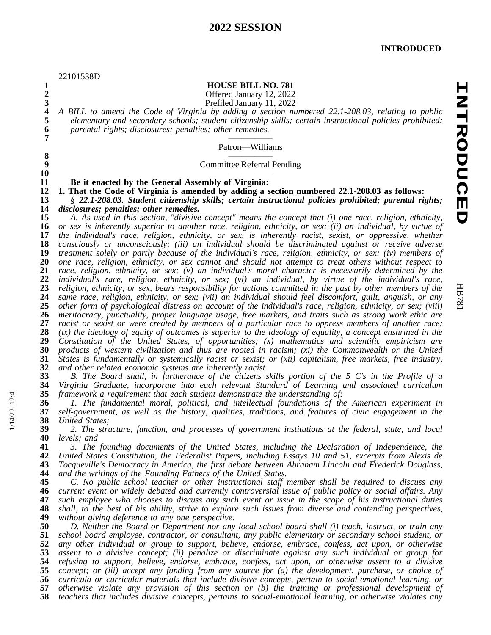|                  | 22101538D                                                                                                     |
|------------------|---------------------------------------------------------------------------------------------------------------|
| $\mathbf{1}$     | <b>HOUSE BILL NO. 781</b>                                                                                     |
| $\overline{2}$   | Offered January 12, 2022                                                                                      |
| $\mathbf{3}$     | Prefiled January 11, 2022                                                                                     |
| 4                | A BILL to amend the Code of Virginia by adding a section numbered 22.1-208.03, relating to public             |
| 5                | elementary and secondary schools; student citizenship skills; certain instructional policies prohibited;      |
| 6                | parental rights; disclosures; penalties; other remedies.                                                      |
| 7                |                                                                                                               |
|                  | Patron-Williams                                                                                               |
| 8                |                                                                                                               |
| $\boldsymbol{9}$ | <b>Committee Referral Pending</b>                                                                             |
| 10               |                                                                                                               |
| 11               | Be it enacted by the General Assembly of Virginia:                                                            |
| 12               | 1. That the Code of Virginia is amended by adding a section numbered 22.1-208.03 as follows:                  |
| 13               | § 22.1-208.03. Student citizenship skills; certain instructional policies prohibited; parental rights;        |
| 14               | disclosures; penalties; other remedies.                                                                       |
| 15               | A. As used in this section, "divisive concept" means the concept that (i) one race, religion, ethnicity,      |
| 16               | or sex is inherently superior to another race, religion, ethnicity, or sex; (ii) an individual, by virtue of  |
| 17               | the individual's race, religion, ethnicity, or sex, is inherently racist, sexist, or oppressive, whether      |
| 18               | consciously or unconsciously; (iii) an individual should be discriminated against or receive adverse          |
| 19               | treatment solely or partly because of the individual's race, religion, ethnicity, or sex; (iv) members of     |
| 20               | one race, religion, ethnicity, or sex cannot and should not attempt to treat others without respect to        |
| 21               | race, religion, ethnicity, or sex; (v) an individual's moral character is necessarily determined by the       |
| 22               | individual's race, religion, ethnicity, or sex; (vi) an individual, by virtue of the individual's race,       |
| 23               | religion, ethnicity, or sex, bears responsibility for actions committed in the past by other members of the   |
| 24               | same race, religion, ethnicity, or sex; (vii) an individual should feel discomfort, guilt, anguish, or any    |
| 25               | other form of psychological distress on account of the individual's race, religion, ethnicity, or sex; (viii) |
| 26               | meritocracy, punctuality, proper language usage, free markets, and traits such as strong work ethic are       |
| $27\,$           | racist or sexist or were created by members of a particular race to oppress members of another race;          |
| 28               | (ix) the ideology of equity of outcomes is superior to the ideology of equality, a concept enshrined in the   |
| 29               | Constitution of the United States, of opportunities; (x) mathematics and scientific empiricism are            |
| 30               | products of western civilization and thus are rooted in racism; (xi) the Commonwealth or the United           |
| 31               | States is fundamentally or systemically racist or sexist; or (xii) capitalism, free markets, free industry,   |
| 32               | and other related economic systems are inherently racist.                                                     |
| 33               | B. The Board shall, in furtherance of the citizens skills portion of the 5 C's in the Profile of a            |
| 34               | Virginia Graduate, incorporate into each relevant Standard of Learning and associated curriculum              |
| 35               | framework a requirement that each student demonstrate the understanding of:                                   |
| 36               | 1. The fundamental moral, political, and intellectual foundations of the American experiment in               |
| 37               | self-government, as well as the history, qualities, traditions, and features of civic engagement in the       |
| 38               | United States;                                                                                                |
| 39               | 2. The structure, function, and processes of government institutions at the federal, state, and local         |
| 40               | levels; and                                                                                                   |
| 41               | 3. The founding documents of the United States, including the Declaration of Independence, the                |
| 42               | United States Constitution, the Federalist Papers, including Essays 10 and 51, excerpts from Alexis de        |
| 43               | Tocqueville's Democracy in America, the first debate between Abraham Lincoln and Frederick Douglass,          |
| 44               | and the writings of the Founding Fathers of the United States.                                                |
| 45               | C. No public school teacher or other instructional staff member shall be required to discuss any              |
| 46               | current event or widely debated and currently controversial issue of public policy or social affairs. Any     |
| 47               | such employee who chooses to discuss any such event or issue in the scope of his instructional duties         |
| 48               | shall, to the best of his ability, strive to explore such issues from diverse and contending perspectives,    |
| 49               | without giving deference to any one perspective.                                                              |
| 50               | D. Neither the Board or Department nor any local school board shall (i) teach, instruct, or train any         |
| 51               | school board employee, contractor, or consultant, any public elementary or secondary school student, or       |
| 52               | any other individual or group to support, believe, endorse, embrace, confess, act upon, or otherwise          |
| 53               | assent to a divisive concept; (ii) penalize or discriminate against any such individual or group for          |
| 54               | refusing to support, believe, endorse, embrace, confess, act upon, or otherwise assent to a divisive          |
| 55               | concept; or (iii) accept any funding from any source for (a) the development, purchase, or choice of          |
| 56               | curricula or curricular materials that include divisive concepts, pertain to social-emotional learning, or    |
| 57               | otherwise violate any provision of this section or (b) the training or professional development of            |
| 58               | teachers that includes divisive concepts, pertains to social-emotional learning, or otherwise violates any    |

HB781